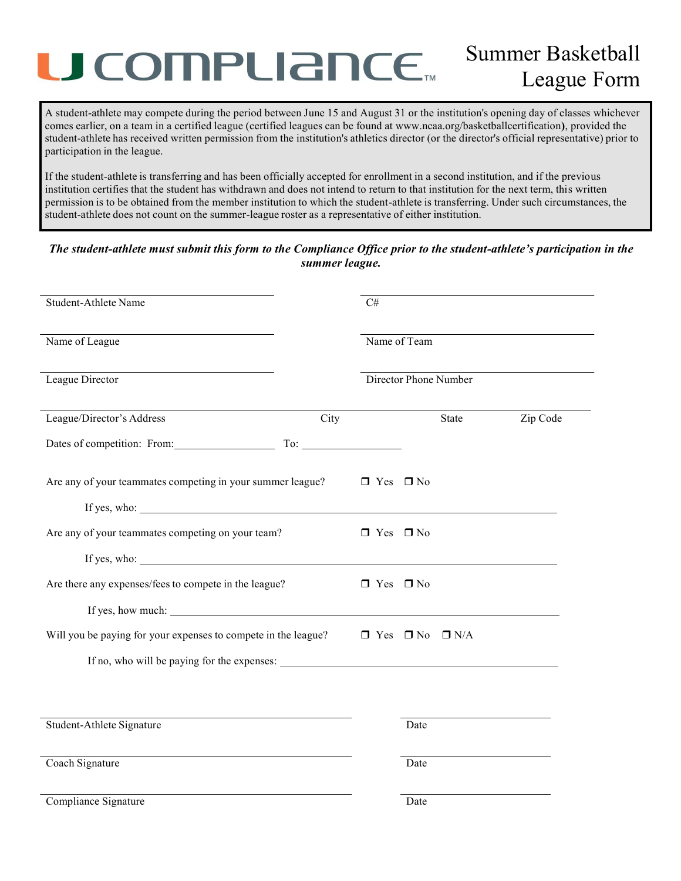# U COMPLIANCE.

A student-athlete may compete during the period between June 15 and August 31 or the institution's opening day of classes whichever comes earlier, on a team in a certified league (certified leagues can be found at www.ncaa.org/basketballcertification**)**, provided the student-athlete has received written permission from the institution's athletics director (or the director's official representative) prior to participation in the league.

If the student-athlete is transferring and has been officially accepted for enrollment in a second institution, and if the previous institution certifies that the student has withdrawn and does not intend to return to that institution for the next term, this written permission is to be obtained from the member institution to which the student-athlete is transferring. Under such circumstances, the student-athlete does not count on the summer-league roster as a representative of either institution.

### *The student-athlete must submit this form to the Compliance Office prior to the student-athlete's participation in the summer league.*

| Student-Athlete Name                                                                         |      | C#                    |              |              |          |
|----------------------------------------------------------------------------------------------|------|-----------------------|--------------|--------------|----------|
| the control of the control of the control of the control of the control of<br>Name of League |      |                       | Name of Team |              |          |
| League Director                                                                              |      | Director Phone Number |              |              |          |
| League/Director's Address                                                                    | City |                       |              | <b>State</b> | Zip Code |
| Dates of competition: From: To: To: To:                                                      |      |                       |              |              |          |
| Are any of your teammates competing in your summer league?                                   |      | $\Box$ Yes $\Box$ No  |              |              |          |
| If yes, who:                                                                                 |      |                       |              |              |          |
| Are any of your teammates competing on your team?                                            |      | $\Box$ Yes $\Box$ No  |              |              |          |
| If yes, who: $\qquad \qquad$                                                                 |      |                       |              |              |          |
| Are there any expenses/fees to compete in the league?                                        |      | $\Box$ Yes $\Box$ No  |              |              |          |
| If yes, how much:                                                                            |      |                       |              |              |          |
| Will you be paying for your expenses to compete in the league?                               |      | $\Box$ Yes $\Box$ No  |              | $\Box$ N/A   |          |
|                                                                                              |      |                       |              |              |          |
|                                                                                              |      |                       |              |              |          |
|                                                                                              |      |                       |              |              |          |
| Student-Athlete Signature                                                                    |      |                       | Date         |              |          |
| Coach Signature                                                                              |      |                       | Date         |              |          |
| Compliance Signature                                                                         |      |                       | Date         |              |          |